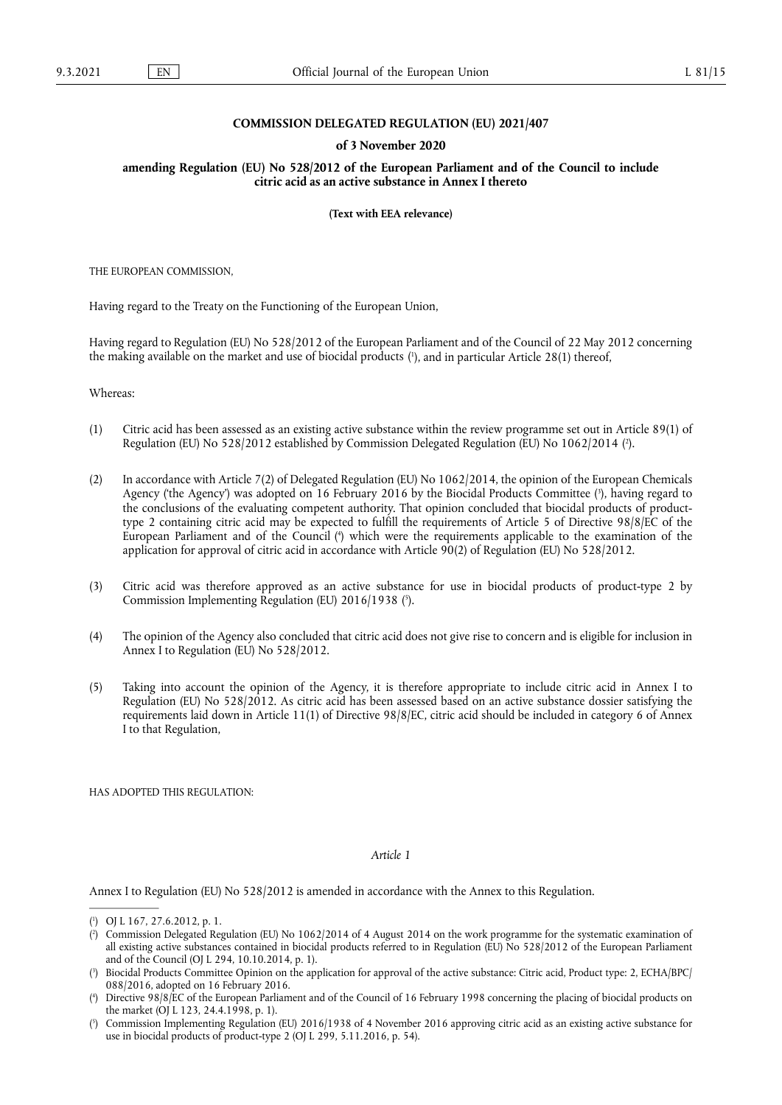#### **COMMISSION DELEGATED REGULATION (EU) 2021/407**

#### **of 3 November 2020**

**amending Regulation (EU) No 528/2012 of the European Parliament and of the Council to include citric acid as an active substance in Annex I thereto** 

**(Text with EEA relevance)** 

THE EUROPEAN COMMISSION,

Having regard to the Treaty on the Functioning of the European Union,

<span id="page-0-5"></span>Having regard to Regulation (EU) No 528/2012 of the European Parliament and of the Council of 22 May 2012 concerning the making available on the market and use of biocidal products [\(](#page-0-0) 1 ), and in particular Article 28(1) thereof,

Whereas:

- <span id="page-0-6"></span>(1) Citric acid has been assessed as an existing active substance within the review programme set out in Article 89(1) of Regulation (EU) No 528/2012 established by Commission Delegated Regulation (EU) No 1062/2014 [\(](#page-0-1) 2 ).
- <span id="page-0-8"></span><span id="page-0-7"></span>(2) In accordance with Article 7(2) of Delegated Regulation (EU) No 1062/2014, the opinion of the European Chemicals Agency ('the Agency') was adopted on 16 February 2016 by the Biocidal Products Committee [\(](#page-0-2) 3 ), having regard to the conclusions of the evaluating competent authority. That opinion concluded that biocidal products of producttype 2 containing citric acid may be expected to fulfill the requirements of Article 5 of Directive 98/8/EC of the European Parliament and of the Council [\(](#page-0-3) 4 ) which were the requirements applicable to the examination of the application for approval of citric acid in accordance with Article 90(2) of Regulation (EU) No 528/2012.
- <span id="page-0-9"></span>(3) Citric acid was therefore approved as an active substance for use in biocidal products of product-type 2 by Commission Implementing Regulation (EU) 2016/1938 ( 5 [\).](#page-0-4)
- (4) The opinion of the Agency also concluded that citric acid does not give rise to concern and is eligible for inclusion in Annex I to Regulation (EU) No 528/2012.
- (5) Taking into account the opinion of the Agency, it is therefore appropriate to include citric acid in Annex I to Regulation (EU) No 528/2012. As citric acid has been assessed based on an active substance dossier satisfying the requirements laid down in Article 11(1) of Directive 98/8/EC, citric acid should be included in category 6 of Annex I to that Regulation,

HAS ADOPTED THIS REGULATION:

### *Article 1*

Annex I to Regulation (EU) No 528/2012 is amended in accordance with the Annex to this Regulation.

<span id="page-0-0"></span>[<sup>\(</sup>](#page-0-5) 1 ) OJ L 167, 27.6.2012, p. 1.

<span id="page-0-1"></span><sup>(</sup> 2 [\)](#page-0-6) Commission Delegated Regulation (EU) No 1062/2014 of 4 August 2014 on the work programme for the systematic examination of all existing active substances contained in biocidal products referred to in Regulation (EU) No 528/2012 of the European Parliament and of the Council (OJ L 294, 10.10.2014, p. 1).

<span id="page-0-2"></span>[<sup>\(</sup>](#page-0-7) 3 ) Biocidal Products Committee Opinion on the application for approval of the active substance: Citric acid, Product type: 2, ECHA/BPC/ 088/2016, adopted on 16 February 2016.

<span id="page-0-3"></span>[<sup>\(</sup>](#page-0-8) 4 ) Directive 98/8/EC of the European Parliament and of the Council of 16 February 1998 concerning the placing of biocidal products on the market (OJ L 123, 24.4.1998, p. 1).

<span id="page-0-4"></span>[<sup>\(</sup>](#page-0-9) 5 ) Commission Implementing Regulation (EU) 2016/1938 of 4 November 2016 approving citric acid as an existing active substance for use in biocidal products of product-type 2 (OJ L 299, 5.11.2016, p. 54).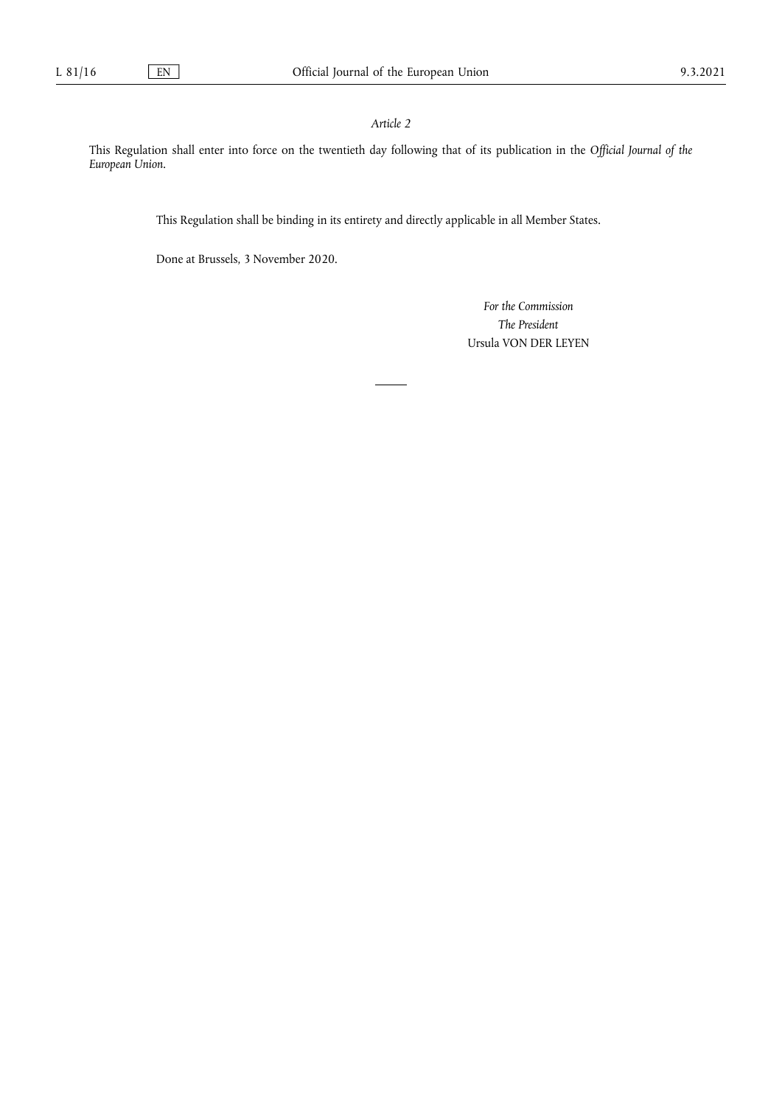# *Article 2*

This Regulation shall enter into force on the twentieth day following that of its publication in the *Official Journal of the European Union*.

This Regulation shall be binding in its entirety and directly applicable in all Member States.

Done at Brussels, 3 November 2020.

*For the Commission The President*  Ursula VON DER LEYEN